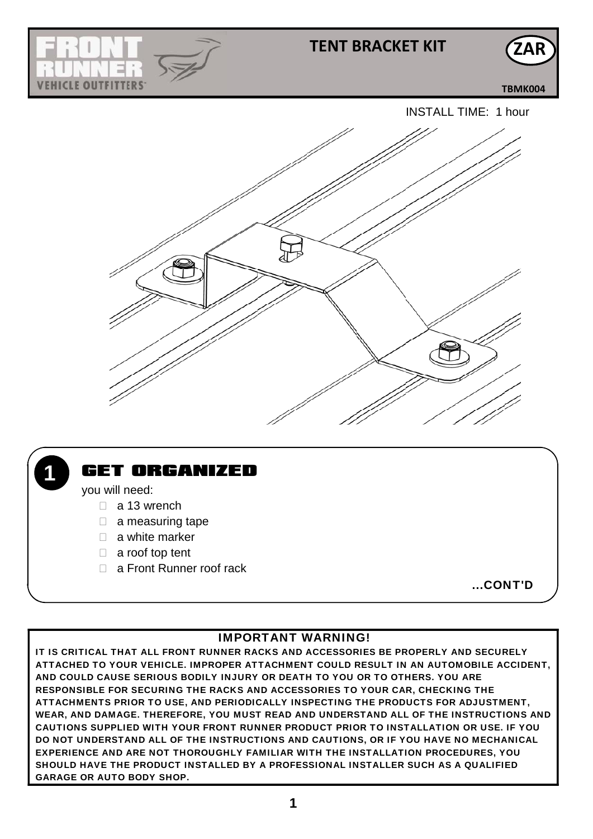

## **TENT BRACKET KIT**

**TBMK004**

**ZAR**





## GET ORGANIZED

you will need:

- a 13 wrench
- $\Box$  a measuring tape
- $\Box$  a white marker
- □ a roof top tent
- □ a Front Runner roof rack

...CONT'D

#### IMPORTANT WARNING!

IT IS CRITICAL THAT ALL FRONT RUNNER RACKS AND ACCESSORIES BE PROPERLY AND SECURELY ATTACHED TO YOUR VEHICLE. IMPROPER ATTACHMENT COULD RESULT IN AN AUTOMOBILE ACCIDENT, AND COULD CAUSE SERIOUS BODILY INJURY OR DEATH TO YOU OR TO OTHERS. YOU ARE RESPONSIBLE FOR SECURING THE RACKS AND ACCESSORIES TO YOUR CAR, CHECKING THE ATTACHMENTS PRIOR TO USE, AND PERIODICALLY INSPECTING THE PRODUCTS FOR ADJUSTMENT, WEAR, AND DAMAGE. THEREFORE, YOU MUST READ AND UNDERSTAND ALL OF THE INSTRUCTIONS AND CAUTIONS SUPPLIED WITH YOUR FRONT RUNNER PRODUCT PRIOR TO INSTALLATION OR USE. IF YOU DO NOT UNDERSTAND ALL OF THE INSTRUCTIONS AND CAUTIONS, OR IF YOU HAVE NO MECHANICAL EXPERIENCE AND ARE NOT THOROUGHLY FAMILIAR WITH THE INSTALLATION PROCEDURES, YOU SHOULD HAVE THE PRODUCT INSTALLED BY A PROFESSIONAL INSTALLER SUCH AS A QUALIFIED GARAGE OR AUTO BODY SHOP.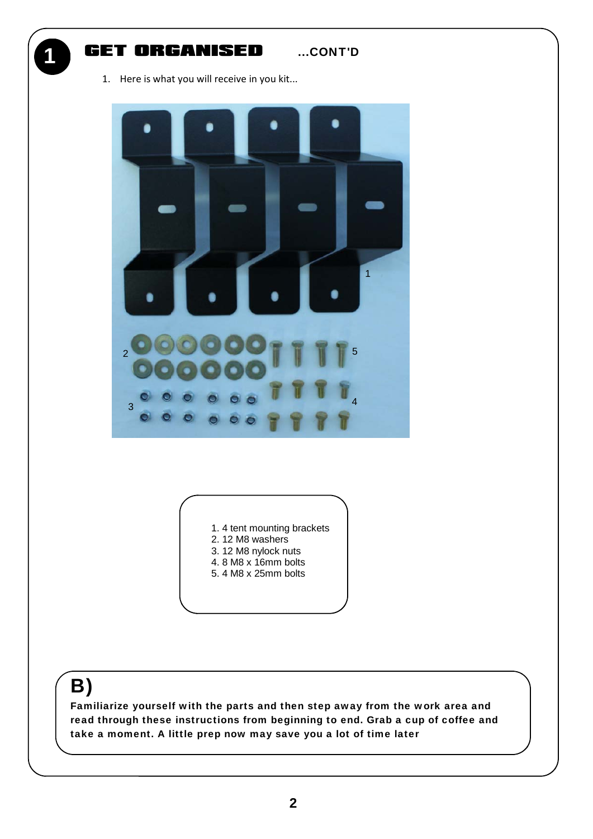1

#### GET ORGANISED ....CONT'D

1. Here is what you will receive in you kit...





- 2. 12 M8 washers
- 3. 12 M8 nylock nuts
- 4. 8 M8 x 16mm bolts
- 5. 4 M8 x 25mm bolts

# B)

Familiarize yourself with the parts and then step away from the work area and read through these instructions from beginning to end. Grab a cup of coffee and take a moment. A little prep now may save you a lot of time later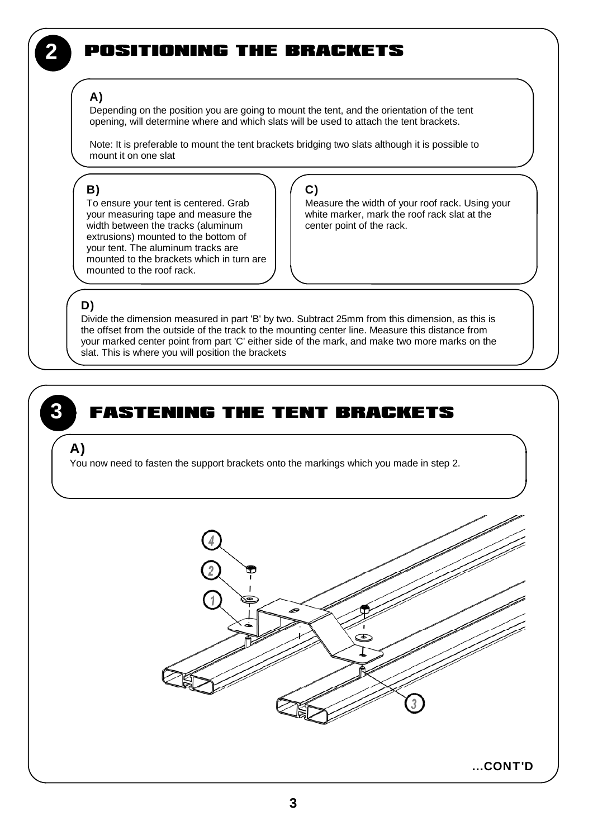## 2 POSITIONING THE BRACKETS

#### A)

Depending on the position you are going to mount the tent, and the orientation of the tent opening, will determine where and which slats will be used to attach the tent brackets.

Note: It is preferable to mount the tent brackets bridging two slats although it is possible to mount it on one slat

#### B)

To ensure your tent is centered. Grab your measuring tape and measure the width between the tracks (aluminum extrusions) mounted to the bottom of your tent. The aluminum tracks are mounted to the brackets which in turn are mounted to the roof rack.

C)

Measure the width of your roof rack. Using your white marker, mark the roof rack slat at the center point of the rack.

#### D)

Divide the dimension measured in part 'B' by two. Subtract 25mm from this dimension, as this is the offset from the outside of the track to the mounting center line. Measure this distance from your marked center point from part 'C' either side of the mark, and make two more marks on the slat. This is where you will position the brackets

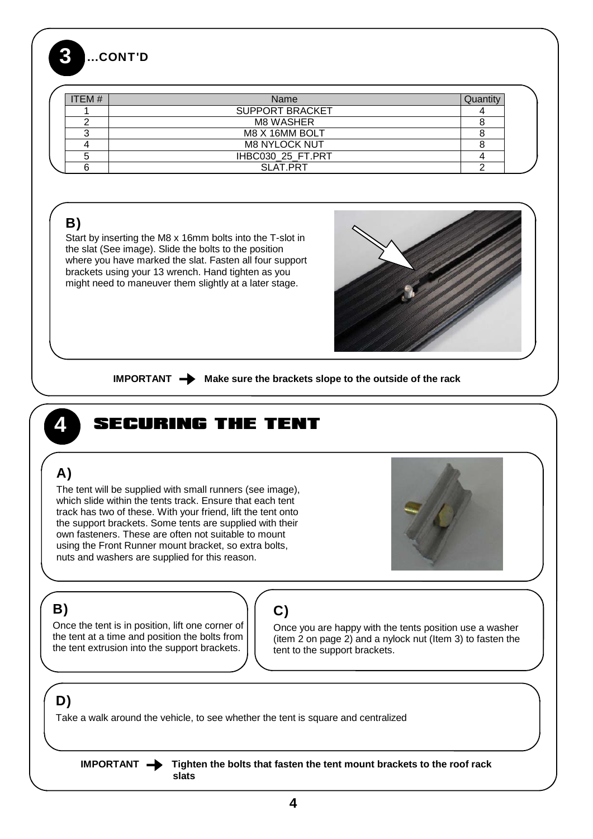### 3 ...CONT'D

| ITEM $#$ | Name                   | Juant |
|----------|------------------------|-------|
|          | <b>SUPPORT BRACKET</b> |       |
|          | <b>M8 WASHER</b>       |       |
|          | M8 X 16MM BOLT         |       |
|          | <b>M8 NYLOCK NUT</b>   |       |
|          | IHBC030 25 FT.PRT      |       |
|          | SLAT.PRT               |       |

## B)

Start by inserting the M8 x 16mm bolts into the T-slot in the slat (See image). Slide the bolts to the position where you have marked the slat. Fasten all four support brackets using your 13 wrench. Hand tighten as you might need to maneuver them slightly at a later stage.



**IMPORTANT**  $\rightarrow$  Make sure the brackets slope to the outside of the rack

# SECURING THE TENT

## A)

3

The tent will be supplied with small runners (see image), which slide within the tents track. Ensure that each tent track has two of these. With your friend, lift the tent onto the support brackets. Some tents are supplied with their own fasteners. These are often not suitable to mount using the Front Runner mount bracket, so extra bolts, nuts and washers are supplied for this reason.



## B)

Once the tent is in position, lift one corner of the tent at a time and position the bolts from the tent extrusion into the support brackets.

## C)

Once you are happy with the tents position use a washer (item 2 on page 2) and a nylock nut (Item 3) to fasten the tent to the support brackets.

## D)

Take a walk around the vehicle, to see whether the tent is square and centralized

**IMPORTANT**  $\rightarrow$  Tighten the bolts that fasten the tent mount brackets to the roof rack  **slats**